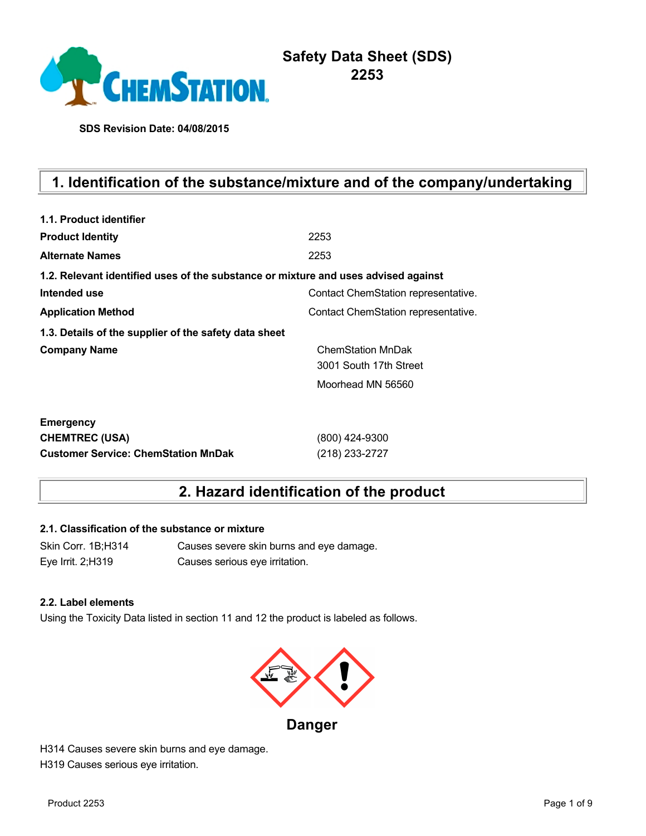

# **Safety Data Sheet (SDS) 2253**

**SDS Revision Date: 04/08/2015**

# **1. Identification of the substance/mixture and of the company/undertaking**

| 1.1. Product identifier                                                            |                                     |
|------------------------------------------------------------------------------------|-------------------------------------|
| <b>Product Identity</b>                                                            | 2253                                |
| <b>Alternate Names</b>                                                             | 2253                                |
| 1.2. Relevant identified uses of the substance or mixture and uses advised against |                                     |
| Intended use                                                                       | Contact ChemStation representative. |
| <b>Application Method</b>                                                          | Contact ChemStation representative. |
| 1.3. Details of the supplier of the safety data sheet                              |                                     |
| <b>Company Name</b>                                                                | <b>ChemStation MnDak</b>            |
|                                                                                    | 3001 South 17th Street              |
|                                                                                    | Moorhead MN 56560                   |
| <b>Emergency</b>                                                                   |                                     |
| <b>CHEMTREC (USA)</b>                                                              | (800) 424-9300                      |
| <b>Customer Service: ChemStation MnDak</b>                                         | (218) 233-2727                      |

# **2. Hazard identification of the product**

#### **2.1. Classification of the substance or mixture**

Skin Corr. 1B;H314 Causes severe skin burns and eye damage. Eye Irrit. 2;H319 Causes serious eye irritation.

#### **2.2. Label elements**

Using the Toxicity Data listed in section 11 and 12 the product is labeled as follows.



**Danger**

H314 Causes severe skin burns and eye damage. H319 Causes serious eye irritation.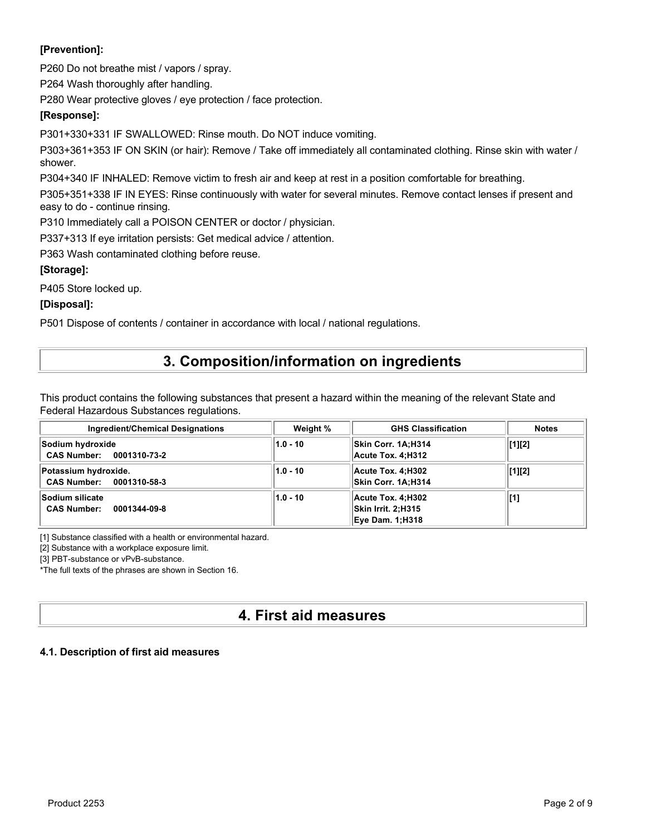### **[Prevention]:**

P260 Do not breathe mist / vapors / spray.

P264 Wash thoroughly after handling.

P280 Wear protective gloves / eye protection / face protection.

### **[Response]:**

P301+330+331 IF SWALLOWED: Rinse mouth. Do NOT induce vomiting.

P303+361+353 IF ON SKIN (or hair): Remove / Take off immediately all contaminated clothing. Rinse skin with water / shower.

P304+340 IF INHALED: Remove victim to fresh air and keep at rest in a position comfortable for breathing.

P305+351+338 IF IN EYES: Rinse continuously with water for several minutes. Remove contact lenses if present and easy to do - continue rinsing.

P310 Immediately call a POISON CENTER or doctor / physician.

P337+313 If eye irritation persists: Get medical advice / attention.

P363 Wash contaminated clothing before reuse.

### **[Storage]:**

P405 Store locked up.

#### **[Disposal]:**

P501 Dispose of contents / container in accordance with local / national regulations.

# **3. Composition/information on ingredients**

This product contains the following substances that present a hazard within the meaning of the relevant State and Federal Hazardous Substances regulations.

| <b>Ingredient/Chemical Designations</b>                      | Weight %   | <b>GHS Classification</b>                                                | <b>Notes</b>   |
|--------------------------------------------------------------|------------|--------------------------------------------------------------------------|----------------|
| Sodium hydroxide<br>CAS Number: 0001310-73-2                 | $1.0 - 10$ | Skin Corr. 1A;H314<br>Acute Tox. 4:H312                                  | $\vert$ [1][2] |
| Potassium hydroxide.<br>CAS Number: 0001310-58-3             | $1.0 - 10$ | Acute Tox. 4:H302<br>Skin Corr. 1A;H314                                  | $\vert$ [1][2] |
| <b>Sodium silicate</b><br><b>CAS Number:</b><br>0001344-09-8 | $1.0 - 10$ | Acute Tox. 4:H302<br><b>Skin Irrit. 2:H315</b><br><b>Eye Dam. 1:H318</b> | [[1]           |

[1] Substance classified with a health or environmental hazard.

[2] Substance with a workplace exposure limit.

[3] PBT-substance or vPvB-substance.

\*The full texts of the phrases are shown in Section 16.

# **4. First aid measures**

#### **4.1. Description of first aid measures**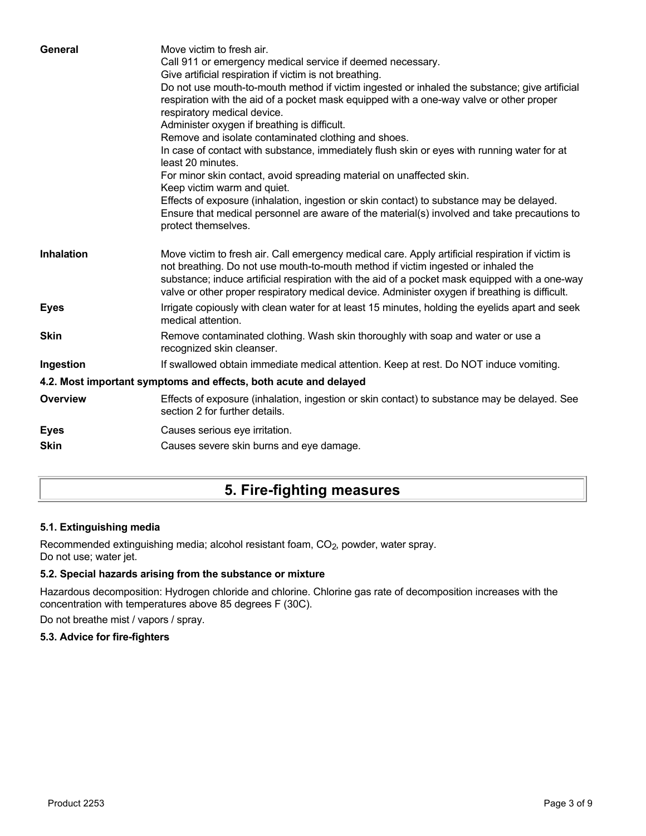| General           | Move victim to fresh air.<br>Call 911 or emergency medical service if deemed necessary.<br>Give artificial respiration if victim is not breathing.<br>Do not use mouth-to-mouth method if victim ingested or inhaled the substance; give artificial<br>respiration with the aid of a pocket mask equipped with a one-way valve or other proper<br>respiratory medical device.<br>Administer oxygen if breathing is difficult.<br>Remove and isolate contaminated clothing and shoes.<br>In case of contact with substance, immediately flush skin or eyes with running water for at<br>least 20 minutes.<br>For minor skin contact, avoid spreading material on unaffected skin.<br>Keep victim warm and quiet.<br>Effects of exposure (inhalation, ingestion or skin contact) to substance may be delayed.<br>Ensure that medical personnel are aware of the material(s) involved and take precautions to<br>protect themselves. |
|-------------------|-----------------------------------------------------------------------------------------------------------------------------------------------------------------------------------------------------------------------------------------------------------------------------------------------------------------------------------------------------------------------------------------------------------------------------------------------------------------------------------------------------------------------------------------------------------------------------------------------------------------------------------------------------------------------------------------------------------------------------------------------------------------------------------------------------------------------------------------------------------------------------------------------------------------------------------|
| <b>Inhalation</b> | Move victim to fresh air. Call emergency medical care. Apply artificial respiration if victim is<br>not breathing. Do not use mouth-to-mouth method if victim ingested or inhaled the<br>substance; induce artificial respiration with the aid of a pocket mask equipped with a one-way<br>valve or other proper respiratory medical device. Administer oxygen if breathing is difficult.                                                                                                                                                                                                                                                                                                                                                                                                                                                                                                                                         |
| <b>Eyes</b>       | Irrigate copiously with clean water for at least 15 minutes, holding the eyelids apart and seek<br>medical attention.                                                                                                                                                                                                                                                                                                                                                                                                                                                                                                                                                                                                                                                                                                                                                                                                             |
| <b>Skin</b>       | Remove contaminated clothing. Wash skin thoroughly with soap and water or use a<br>recognized skin cleanser.                                                                                                                                                                                                                                                                                                                                                                                                                                                                                                                                                                                                                                                                                                                                                                                                                      |
| Ingestion         | If swallowed obtain immediate medical attention. Keep at rest. Do NOT induce vomiting.                                                                                                                                                                                                                                                                                                                                                                                                                                                                                                                                                                                                                                                                                                                                                                                                                                            |
|                   | 4.2. Most important symptoms and effects, both acute and delayed                                                                                                                                                                                                                                                                                                                                                                                                                                                                                                                                                                                                                                                                                                                                                                                                                                                                  |
| <b>Overview</b>   | Effects of exposure (inhalation, ingestion or skin contact) to substance may be delayed. See<br>section 2 for further details.                                                                                                                                                                                                                                                                                                                                                                                                                                                                                                                                                                                                                                                                                                                                                                                                    |
| <b>Eyes</b>       | Causes serious eye irritation.                                                                                                                                                                                                                                                                                                                                                                                                                                                                                                                                                                                                                                                                                                                                                                                                                                                                                                    |
| <b>Skin</b>       | Causes severe skin burns and eye damage.                                                                                                                                                                                                                                                                                                                                                                                                                                                                                                                                                                                                                                                                                                                                                                                                                                                                                          |
|                   |                                                                                                                                                                                                                                                                                                                                                                                                                                                                                                                                                                                                                                                                                                                                                                                                                                                                                                                                   |

# **5. Fire-fighting measures**

### **5.1. Extinguishing media**

Recommended extinguishing media; alcohol resistant foam, CO<sub>2</sub>, powder, water spray. Do not use; water jet.

### **5.2. Special hazards arising from the substance or mixture**

Hazardous decomposition: Hydrogen chloride and chlorine. Chlorine gas rate of decomposition increases with the concentration with temperatures above 85 degrees F (30C).

Do not breathe mist / vapors / spray.

#### **5.3. Advice for fire-fighters**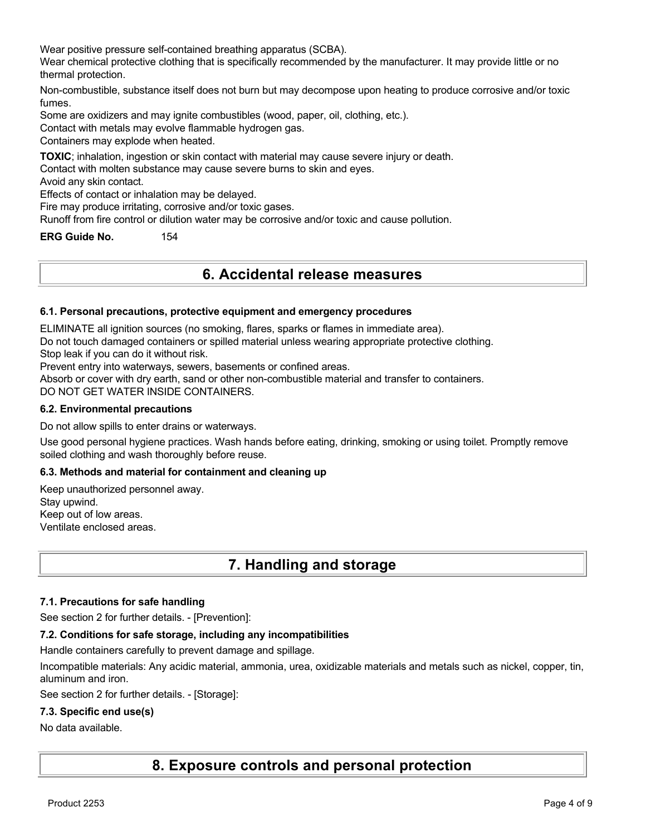Wear positive pressure self-contained breathing apparatus (SCBA).

Wear chemical protective clothing that is specifically recommended by the manufacturer. It may provide little or no thermal protection.

Non-combustible, substance itself does not burn but may decompose upon heating to produce corrosive and/or toxic fumes.

Some are oxidizers and may ignite combustibles (wood, paper, oil, clothing, etc.).

Contact with metals may evolve flammable hydrogen gas.

Containers may explode when heated.

**TOXIC**; inhalation, ingestion or skin contact with material may cause severe injury or death.

Contact with molten substance may cause severe burns to skin and eyes.

Avoid any skin contact.

Effects of contact or inhalation may be delayed.

Fire may produce irritating, corrosive and/or toxic gases.

Runoff from fire control or dilution water may be corrosive and/or toxic and cause pollution.

**ERG Guide No.** 154

### **6. Accidental release measures**

#### **6.1. Personal precautions, protective equipment and emergency procedures**

ELIMINATE all ignition sources (no smoking, flares, sparks or flames in immediate area).

Do not touch damaged containers or spilled material unless wearing appropriate protective clothing.

Stop leak if you can do it without risk.

Prevent entry into waterways, sewers, basements or confined areas.

Absorb or cover with dry earth, sand or other non-combustible material and transfer to containers.

DO NOT GET WATER INSIDE CONTAINERS.

#### **6.2. Environmental precautions**

Do not allow spills to enter drains or waterways.

Use good personal hygiene practices. Wash hands before eating, drinking, smoking or using toilet. Promptly remove soiled clothing and wash thoroughly before reuse.

#### **6.3. Methods and material for containment and cleaning up**

Keep unauthorized personnel away. Stay upwind. Keep out of low areas. Ventilate enclosed areas.

# **7. Handling and storage**

#### **7.1. Precautions for safe handling**

See section 2 for further details. - [Prevention]:

#### **7.2. Conditions for safe storage, including any incompatibilities**

Handle containers carefully to prevent damage and spillage.

Incompatible materials: Any acidic material, ammonia, urea, oxidizable materials and metals such as nickel, copper, tin, aluminum and iron.

See section 2 for further details. - [Storage]:

#### **7.3. Specific end use(s)**

#### No data available.

**8. Exposure controls and personal protection**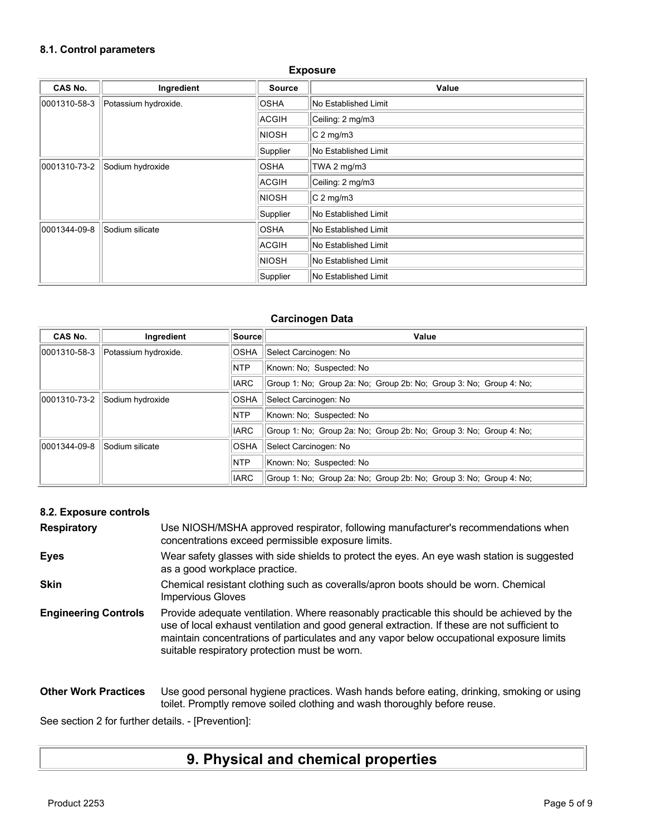### **8.1. Control parameters**

| CAS No.      | Ingredient           | <b>Source</b>    | Value                |
|--------------|----------------------|------------------|----------------------|
| 0001310-58-3 | Potassium hydroxide. | <b>OSHA</b>      | No Established Limit |
|              |                      | ACGIH            | Ceiling: 2 mg/m3     |
|              |                      | <b>NIOSH</b>     | $C2$ mg/m3           |
|              |                      | Supplier         | No Established Limit |
| 0001310-73-2 | Sodium hydroxide     | <b>OSHA</b>      | TWA 2 mg/m3          |
|              | <b>ACGIH</b>         | Ceiling: 2 mg/m3 |                      |
|              |                      | <b>NIOSH</b>     | $C2$ mg/m3           |
|              |                      | Supplier         | No Established Limit |
| 0001344-09-8 | Sodium silicate      | <b>OSHA</b>      | No Established Limit |
|              |                      | ACGIH            | No Established Limit |
|              |                      | <b>NIOSH</b>     | No Established Limit |
|              |                      | Supplier         | No Established Limit |

**Exposure**

### **Carcinogen Data**

| CAS No.      | Ingredient           | ∣Source∣    | Value                                                              |
|--------------|----------------------|-------------|--------------------------------------------------------------------|
| 0001310-58-3 | Potassium hydroxide. | <b>OSHA</b> | Select Carcinogen: No                                              |
|              |                      | <b>NTP</b>  | Known: No: Suspected: No                                           |
|              |                      | <b>IARC</b> | Group 1: No: Group 2a: No: Group 2b: No: Group 3: No: Group 4: No: |
| 0001310-73-2 | Sodium hydroxide     | <b>OSHA</b> | Select Carcinogen: No                                              |
|              |                      | <b>NTP</b>  | Known: No: Suspected: No                                           |
|              |                      | <b>IARC</b> | Group 1: No: Group 2a: No: Group 2b: No: Group 3: No: Group 4: No: |
| 0001344-09-8 | Sodium silicate      | OSHA        | Select Carcinogen: No                                              |
|              |                      | <b>NTP</b>  | Known: No: Suspected: No                                           |
|              |                      | <b>IARC</b> | Group 1: No: Group 2a: No: Group 2b: No: Group 3: No: Group 4: No: |

### **8.2. Exposure controls**

| <b>Respiratory</b>          | Use NIOSH/MSHA approved respirator, following manufacturer's recommendations when<br>concentrations exceed permissible exposure limits.                                                                                                                                                                                                |
|-----------------------------|----------------------------------------------------------------------------------------------------------------------------------------------------------------------------------------------------------------------------------------------------------------------------------------------------------------------------------------|
| <b>Eyes</b>                 | Wear safety glasses with side shields to protect the eyes. An eye wash station is suggested<br>as a good workplace practice.                                                                                                                                                                                                           |
| <b>Skin</b>                 | Chemical resistant clothing such as coveralls/apron boots should be worn. Chemical<br><b>Impervious Gloves</b>                                                                                                                                                                                                                         |
| <b>Engineering Controls</b> | Provide adequate ventilation. Where reasonably practicable this should be achieved by the<br>use of local exhaust ventilation and good general extraction. If these are not sufficient to<br>maintain concentrations of particulates and any vapor below occupational exposure limits<br>suitable respiratory protection must be worn. |
| <b>Other Work Practices</b> | Use good personal hygiene practices. Wash hands before eating, drinking, smoking or using<br>toilet. Promptly remove soiled clothing and wash thoroughly before reuse.                                                                                                                                                                 |

See section 2 for further details. - [Prevention]:

# **9. Physical and chemical properties**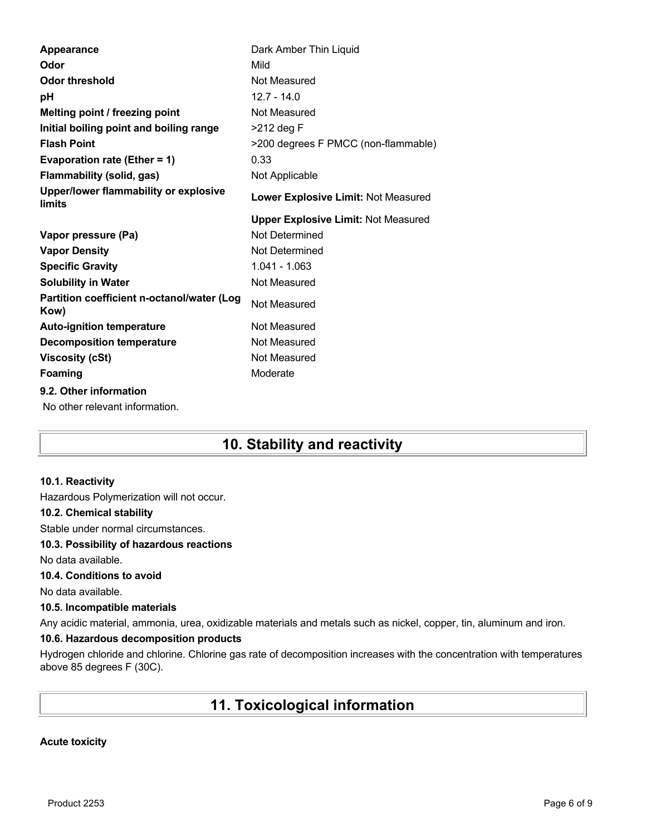| Appearance                                               | Dark Amber Thin Liquid                     |
|----------------------------------------------------------|--------------------------------------------|
| Odor                                                     | Mild                                       |
| <b>Odor threshold</b>                                    | Not Measured                               |
| рH                                                       | $12.7 - 14.0$                              |
| Melting point / freezing point                           | Not Measured                               |
| Initial boiling point and boiling range                  | $>212$ deg F                               |
| <b>Flash Point</b>                                       | >200 degrees F PMCC (non-flammable)        |
| Evaporation rate (Ether = 1)                             | 0.33                                       |
| <b>Flammability (solid, gas)</b>                         | Not Applicable                             |
| Upper/lower flammability or explosive<br>limits          | Lower Explosive Limit: Not Measured        |
|                                                          | <b>Upper Explosive Limit: Not Measured</b> |
| Vapor pressure (Pa)                                      | Not Determined                             |
|                                                          |                                            |
| <b>Vapor Density</b>                                     | Not Determined                             |
| <b>Specific Gravity</b>                                  | $1.041 - 1.063$                            |
| <b>Solubility in Water</b>                               | Not Measured                               |
| Partition coefficient n-octanol/water (Log<br>Kow)       | Not Measured                               |
| <b>Auto-ignition temperature</b>                         | Not Measured                               |
| <b>Decomposition temperature</b>                         | Not Measured                               |
| <b>Viscosity (cSt)</b>                                   | Not Measured                               |
| <b>Foaming</b>                                           | Moderate                                   |
| 9.2. Other information<br>No other relevant information. |                                            |

# **10. Stability and reactivity**

#### **10.1. Reactivity**

Hazardous Polymerization will not occur.

#### **10.2. Chemical stability**

Stable under normal circumstances.

#### **10.3. Possibility of hazardous reactions**

No data available.

#### **10.4. Conditions to avoid**

No data available.

#### **10.5. Incompatible materials**

Any acidic material, ammonia, urea, oxidizable materials and metals such as nickel, copper, tin, aluminum and iron.

#### **10.6. Hazardous decomposition products**

Hydrogen chloride and chlorine. Chlorine gas rate of decomposition increases with the concentration with temperatures above 85 degrees F (30C).

# **11. Toxicological information**

#### **Acute toxicity**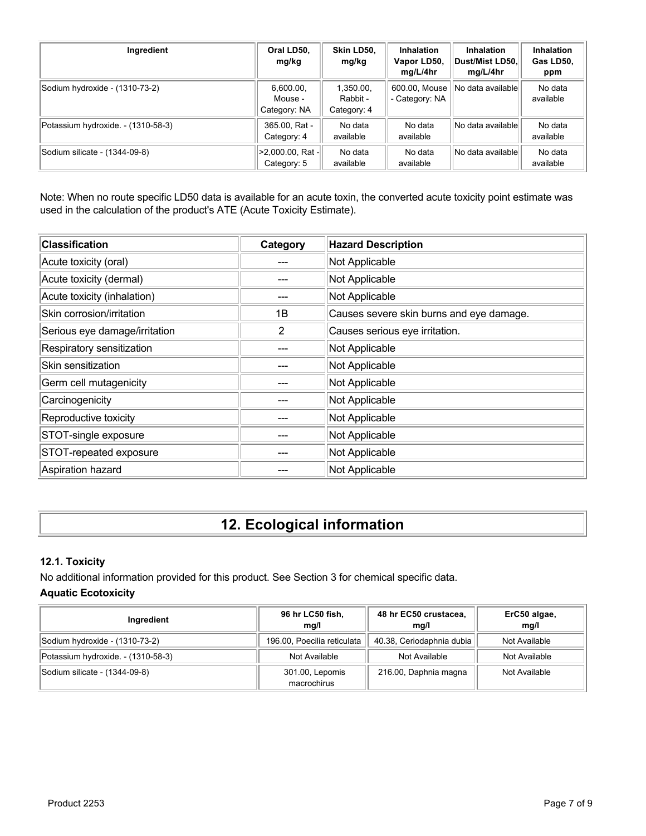| Ingredient                         | Oral LD50,<br>mg/kg                  | Skin LD50.<br>mg/kg                  | <b>Inhalation</b><br>Vapor LD50,<br>mg/L/4hr | <b>Inhalation</b><br>∣Dust/Mist LD50.∣<br>mg/L/4hr | <b>Inhalation</b><br>Gas LD50,<br>ppm |
|------------------------------------|--------------------------------------|--------------------------------------|----------------------------------------------|----------------------------------------------------|---------------------------------------|
| Sodium hydroxide - (1310-73-2)     | 6,600.00,<br>Mouse -<br>Category: NA | 1,350.00,<br>Rabbit -<br>Category: 4 | 600.00, Mouse<br>- Category: NA              | No data availablel                                 | No data<br>available                  |
| Potassium hydroxide. - (1310-58-3) | 365.00, Rat -<br>Category: 4         | No data<br>available                 | No data<br>available                         | No data available                                  | No data<br>available                  |
| Sodium silicate - (1344-09-8)      | >2,000.00, Rat -<br>Category: 5      | No data<br>available                 | No data<br>available                         | No data available                                  | No data<br>available                  |

Note: When no route specific LD50 data is available for an acute toxin, the converted acute toxicity point estimate was used in the calculation of the product's ATE (Acute Toxicity Estimate).

| <b>Classification</b>         | Category | <b>Hazard Description</b>                |
|-------------------------------|----------|------------------------------------------|
| Acute toxicity (oral)         |          | Not Applicable                           |
| Acute toxicity (dermal)       |          | Not Applicable                           |
| Acute toxicity (inhalation)   |          | Not Applicable                           |
| Skin corrosion/irritation     | 1B       | Causes severe skin burns and eye damage. |
| Serious eye damage/irritation | 2        | Causes serious eye irritation.           |
| Respiratory sensitization     |          | Not Applicable                           |
| Skin sensitization            |          | Not Applicable                           |
| Germ cell mutagenicity        |          | Not Applicable                           |
| Carcinogenicity               |          | Not Applicable                           |
| Reproductive toxicity         |          | Not Applicable                           |
| STOT-single exposure          |          | Not Applicable                           |
| STOT-repeated exposure        |          | Not Applicable                           |
| Aspiration hazard             |          | Not Applicable                           |

# **12. Ecological information**

### **12.1. Toxicity**

No additional information provided for this product. See Section 3 for chemical specific data.

### **Aquatic Ecotoxicity**

| Ingredient                         | 96 hr LC50 fish,<br>mq/l       | 48 hr EC50 crustacea,<br>mq/l | ErC50 algae,<br>mq/l |
|------------------------------------|--------------------------------|-------------------------------|----------------------|
| Sodium hydroxide - (1310-73-2)     | 196.00, Poecilia reticulata    | 40.38, Ceriodaphnia dubia     | Not Available        |
| Potassium hydroxide. - (1310-58-3) | Not Available                  | Not Available                 | Not Available        |
| Sodium silicate - (1344-09-8)      | 301.00, Lepomis<br>macrochirus | 216.00, Daphnia magna         | Not Available        |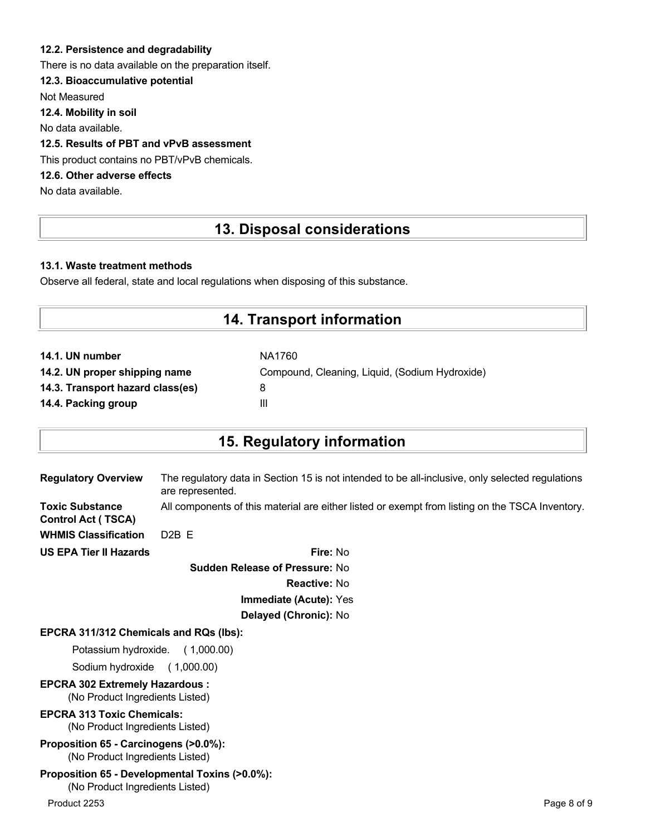#### **12.2. Persistence and degradability**

There is no data available on the preparation itself.

#### **12.3. Bioaccumulative potential**

Not Measured

**12.4. Mobility in soil**

No data available.

#### **12.5. Results of PBT and vPvB assessment**

This product contains no PBT/vPvB chemicals.

### **12.6. Other adverse effects**

No data available.

# **13. Disposal considerations**

#### **13.1. Waste treatment methods**

Observe all federal, state and local regulations when disposing of this substance.

### **14. Transport information**

| NA1760                                         |
|------------------------------------------------|
| Compound, Cleaning, Liquid, (Sodium Hydroxide) |
| 8                                              |
| Ш                                              |
|                                                |

# **15. Regulatory information**

| <b>Regulatory Overview</b>                          | The regulatory data in Section 15 is not intended to be all-inclusive, only selected regulations<br>are represented. |
|-----------------------------------------------------|----------------------------------------------------------------------------------------------------------------------|
| <b>Toxic Substance</b><br><b>Control Act (TSCA)</b> | All components of this material are either listed or exempt from listing on the TSCA Inventory.                      |
| <b>WHMIS Classification</b>                         | $D2B$ F                                                                                                              |
| <b>US EPA Tier II Hazards</b>                       | Fire: No                                                                                                             |

**Sudden Release of Pressure:** No **Reactive:** No **Immediate (Acute):** Yes **Delayed (Chronic):** No

#### **EPCRA 311/312 Chemicals and RQs (lbs):**

Potassium hydroxide. ( 1,000.00)

Sodium hydroxide ( 1,000.00)

**EPCRA 302 Extremely Hazardous :** (No Product Ingredients Listed)

### **EPCRA 313 Toxic Chemicals:**

(No Product Ingredients Listed)

**Proposition 65 - Carcinogens (>0.0%):** (No Product Ingredients Listed)

#### **Proposition 65 - Developmental Toxins (>0.0%):** (No Product Ingredients Listed)